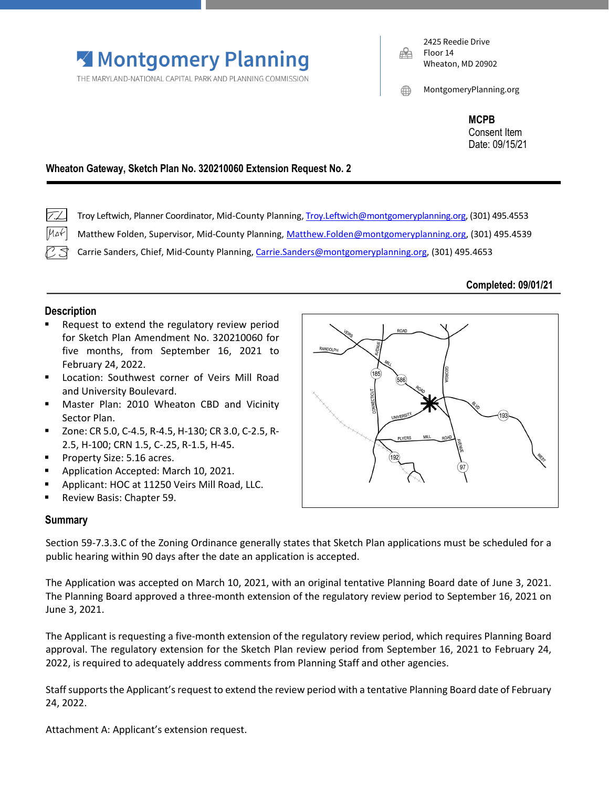

THE MARYLAND-NATIONAL CAPITAL PARK AND PLANNING COMMISSION

2425 Reedie Drive Floor 14 Wheaton, MD 20902

MontgomeryPlanning.org

**MCPB** Consent Item Date: 09/15/21

# **Wheaton Gateway, Sketch Plan No. 320210060 Extension Request No. 2**

TTL Troy Leftwich, Planner Coordinator, Mid-County Planning[, Troy.Leftwich@montgomeryplanning.org,](mailto:Troy.Leftwich@montgomeryplanning.org) (301) 495.4553

Matthew Folden, Supervisor, Mid-County Planning, [Matthew.Folden@montgomeryplanning.org,](mailto:Matthew.Folden@montgomeryplanning.org) (301) 495.4539  $| \mu_4 \nless |$ 

Carrie Sanders, Chief, Mid-County Planning[, Carrie.Sanders@montgomeryplanning.org,](mailto:Carrie.Sanders@montgomeryplanning.org) (301) 495.4653

### **Completed: 09/01/21**

# **Description**

- Request to extend the regulatory review period for Sketch Plan Amendment No. 320210060 for five months, from September 16, 2021 to February 24, 2022.
- **E** Location: Southwest corner of Veirs Mill Road and University Boulevard.
- **Master Plan: 2010 Wheaton CBD and Vicinity** Sector Plan.
- Zone: CR 5.0, C-4.5, R-4.5, H-130; CR 3.0, C-2.5, R-2.5, H-100; CRN 1.5, C-.25, R-1.5, H-45.
- **Property Size: 5.16 acres.**
- **Application Accepted: March 10, 2021.**
- **Applicant: HOC at 11250 Veirs Mill Road, LLC.**
- **Review Basis: Chapter 59.**

## **Summary**

Section 59-7.3.3.C of the Zoning Ordinance generally states that Sketch Plan applications must be scheduled for a public hearing within 90 days after the date an application is accepted.

The Application was accepted on March 10, 2021, with an original tentative Planning Board date of June 3, 2021. The Planning Board approved a three-month extension of the regulatory review period to September 16, 2021 on June 3, 2021.

The Applicant is requesting a five-month extension of the regulatory review period, which requires Planning Board approval. The regulatory extension for the Sketch Plan review period from September 16, 2021 to February 24, 2022, is required to adequately address comments from Planning Staff and other agencies.

Staff supports the Applicant's request to extend the review period with a tentative Planning Board date of February 24, 2022.

Attachment A: Applicant's extension request.

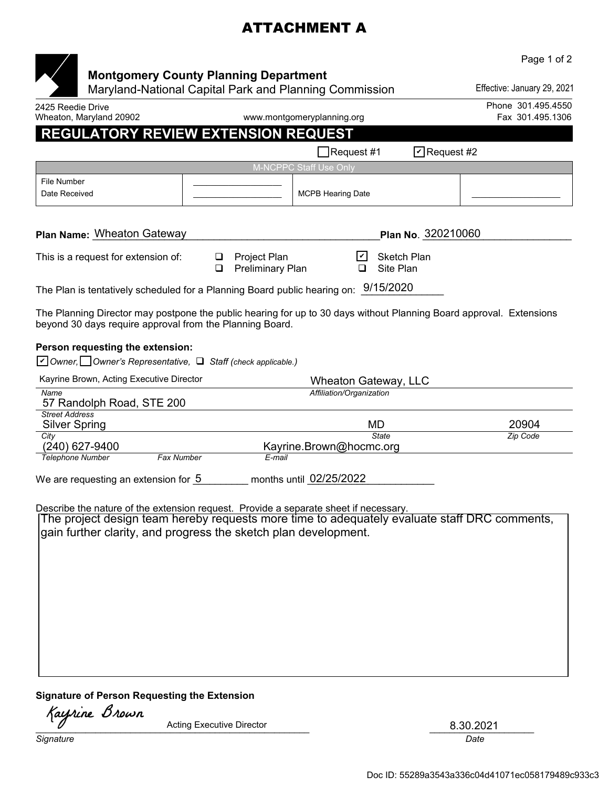# ATTACHMENT A

|                                                                                                  |                                                                                                        |                                         | Page 1 of 2                                                                                                                                                                           |
|--------------------------------------------------------------------------------------------------|--------------------------------------------------------------------------------------------------------|-----------------------------------------|---------------------------------------------------------------------------------------------------------------------------------------------------------------------------------------|
|                                                                                                  | <b>Montgomery County Planning Department</b><br>Maryland-National Capital Park and Planning Commission |                                         | Effective: January 29, 2021                                                                                                                                                           |
| 2425 Reedie Drive<br>Wheaton, Maryland 20902                                                     |                                                                                                        | www.montgomeryplanning.org              | Phone 301.495.4550<br>Fax 301.495.1306                                                                                                                                                |
| <b>REGULATORY REVIEW EXTENSION REQUEST</b>                                                       |                                                                                                        |                                         |                                                                                                                                                                                       |
|                                                                                                  |                                                                                                        | $\Box$ Request #1                       | $\Box$ Request #2                                                                                                                                                                     |
|                                                                                                  |                                                                                                        | M-NCPPC Staff Use Only                  |                                                                                                                                                                                       |
| File Number<br>Date Received                                                                     |                                                                                                        | <b>MCPB Hearing Date</b>                |                                                                                                                                                                                       |
| <b>Plan Name: Wheaton Gateway</b>                                                                |                                                                                                        |                                         | Plan No. 320210060                                                                                                                                                                    |
| This is a request for extension of:                                                              | <b>Project Plan</b><br>⊔<br>Preliminary Plan<br>◻                                                      | Site Plan                               | <b>Sketch Plan</b>                                                                                                                                                                    |
| The Plan is tentatively scheduled for a Planning Board public hearing on: $9/15/2020$            |                                                                                                        |                                         |                                                                                                                                                                                       |
| beyond 30 days require approval from the Planning Board.                                         |                                                                                                        |                                         | The Planning Director may postpone the public hearing for up to 30 days without Planning Board approval. Extensions                                                                   |
| Person requesting the extension:<br>○ Owner, Owner's Representative, Q Staff (check applicable.) |                                                                                                        |                                         |                                                                                                                                                                                       |
| Kayrine Brown, Acting Executive Director                                                         |                                                                                                        | Wheaton Gateway, LLC                    |                                                                                                                                                                                       |
| Name<br>57 Randolph Road, STE 200                                                                |                                                                                                        | Affiliation/Organization                |                                                                                                                                                                                       |
| <b>Street Address</b><br>Silver Spring                                                           |                                                                                                        | MD                                      | 20904                                                                                                                                                                                 |
| City<br>(240) 627-9400                                                                           |                                                                                                        | <b>State</b><br>Kayrine.Brown@hocmc.org | Zip Code                                                                                                                                                                              |
| <b>Telephone Number</b><br><b>Fax Number</b>                                                     | E-mail                                                                                                 |                                         |                                                                                                                                                                                       |
| We are requesting an extension for 5                                                             |                                                                                                        | months until 02/25/2022                 |                                                                                                                                                                                       |
| gain further clarity, and progress the sketch plan development.                                  |                                                                                                        |                                         | Describe the nature of the extension request. Provide a separate sheet if necessary.<br>[The project design team hereby requests more time to adequately evaluate staff DRC comments, |

#### **Signature of Person Requesting the Extension**

 $\overline{V}$  Acting Executive Director  $\overline{V}$   $\overline{S}$ .30.2021 Acting Executive Director and a set of the Same State of the Same Same State State State State State State State State State State State State State State State State State State State State State State State State State S

**Signature Date of the Date of the Date of the Date of the Date of the Date of the Date of the Date of the Date of the Date of the Date of the Date of the Date of the Date of the Date of the Date of the Date of the Date of**